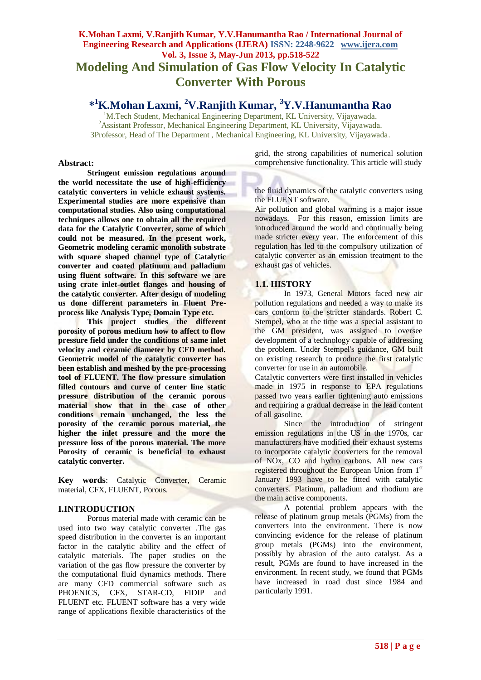## **K.Mohan Laxmi, V.Ranjith Kumar, Y.V.Hanumantha Rao / International Journal of Engineering Research and Applications (IJERA) ISSN: 2248-9622 www.ijera.com Vol. 3, Issue 3, May-Jun 2013, pp.518-522 Modeling And Simulation of Gas Flow Velocity In Catalytic Converter With Porous**

# **\* <sup>1</sup>K.Mohan Laxmi, <sup>2</sup>V.Ranjith Kumar, <sup>3</sup>Y.V.Hanumantha Rao**

<sup>1</sup>M.Tech Student, Mechanical Engineering Department, KL University, Vijayawada. <sup>2</sup>Assistant Professor, Mechanical Engineering Department, KL University, Vijayawada. 3Professor, Head of The Department , Mechanical Engineering, KL University, Vijayawada.

#### **Abstract:**

**Stringent emission regulations around the world necessitate the use of high-efficiency catalytic converters in vehicle exhaust systems. Experimental studies are more expensive than computational studies. Also using computational techniques allows one to obtain all the required data for the Catalytic Converter, some of which could not be measured. In the present work, Geometric modeling ceramic monolith substrate with square shaped channel type of Catalytic converter and coated platinum and palladium using fluent software. In this software we are using crate inlet-outlet flanges and housing of the catalytic converter. After design of modeling us done different parameters in Fluent Preprocess like Analysis Type, Domain Type etc.**

**This project studies the different porosity of porous medium how to affect to flow pressure field under the conditions of same inlet velocity and ceramic diameter by CFD method. Geometric model of the catalytic converter has been establish and meshed by the pre-processing tool of FLUENT. The flow pressure simulation filled contours and curve of center line static pressure distribution of the ceramic porous material show that in the case of other conditions remain unchanged, the less the porosity of the ceramic porous material, the higher the inlet pressure and the more the pressure loss of the porous material. The more Porosity of ceramic is beneficial to exhaust catalytic converter.**

**Key words**: Catalytic Converter, Ceramic material, CFX, FLUENT, Porous.

### **I.INTRODUCTION**

Porous material made with ceramic can be used into two way catalytic converter .The gas speed distribution in the converter is an important factor in the catalytic ability and the effect of catalytic materials. The paper studies on the variation of the gas flow pressure the converter by the computational fluid dynamics methods. There are many CFD commercial software such as PHOENICS, CFX, STAR-CD, FIDIP and FLUENT etc. FLUENT software has a very wide range of applications flexible characteristics of the

grid, the strong capabilities of numerical solution comprehensive functionality. This article will study

the fluid dynamics of the catalytic converters using the FLUENT software.

Air pollution and global warming is a major issue nowadays. For this reason, emission limits are introduced around the world and continually being made stricter every year. The enforcement of this regulation has led to the compulsory utilization of catalytic converter as an emission treatment to the exhaust gas of vehicles.

### **1.1. HISTORY**

In 1973, General Motors faced new air pollution regulations and needed a way to make its cars conform to the stricter standards. Robert C. Stempel, who at the time was a special assistant to the GM president, was assigned to oversee development of a technology capable of addressing the problem. Under Stempel's guidance, GM built on existing research to produce the first catalytic converter for use in an automobile.

Catalytic converters were first installed in vehicles made in 1975 in response to EPA regulations passed two years earlier tightening auto emissions and requiring a gradual decrease in the lead content of all gasoline.

Since the introduction of stringent emission regulations in the US in the 1970s, car manufacturers have modified their exhaust systems to incorporate catalytic converters for the removal of NOx, CO and hydro carbons. All new cars registered throughout the European Union from 1<sup>st</sup> January 1993 have to be fitted with catalytic converters. Platinum, palladium and rhodium are the main active components.

A potential problem appears with the release of platinum group metals (PGMs) from the converters into the environment. There is now convincing evidence for the release of platinum group metals (PGMs) into the environment, possibly by abrasion of the auto catalyst. As a result, PGMs are found to have increased in the environment. In recent study, we found that PGMs have increased in road dust since 1984 and particularly 1991.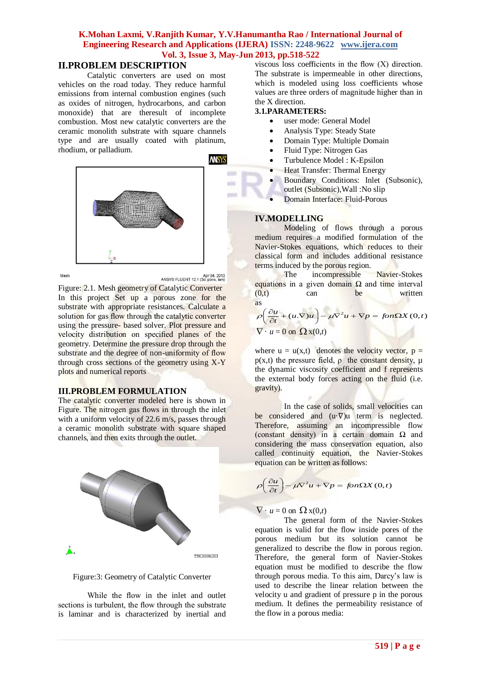### **II.PROBLEM DESCRIPTION**

Catalytic converters are used on most vehicles on the road today. They reduce harmful emissions from internal combustion engines (such as oxides of nitrogen, hydrocarbons, and carbon monoxide) that are theresult of incomplete combustion. Most new catalytic converters are the ceramic monolith substrate with square channels type and are usually coated with platinum, rhodium, or palladium.



Mesh

Apr 04, 2013<br>ANSYS FLUENT 12.1 (3d, pbns, lam)

Figure: 2.1. Mesh geometry of Catalytic Converter In this project Set up a porous zone for the substrate with appropriate resistances. Calculate a solution for gas flow through the catalytic converter using the pressure- based solver. Plot pressure and velocity distribution on specified planes of the geometry. Determine the pressure drop through the substrate and the degree of non-uniformity of flow through cross sections of the geometry using  $X-Y$ plots and numerical reports

#### **III.PROBLEM FORMULATION**

The catalytic converter modeled here is shown in Figure. The nitrogen gas flows in through the inlet with a uniform velocity of 22.6 m/s, passes through a ceramic monolith substrate with square shaped channels, and then exits through the outlet.





While the flow in the inlet and outlet sections is turbulent, the flow through the substrate is laminar and is characterized by inertial and viscous loss coefficients in the flow (X) direction. The substrate is impermeable in other directions, which is modeled using loss coefficients whose values are three orders of magnitude higher than in the X direction.

#### **3.1.PARAMETERS:**

- user mode: General Model
- Analysis Type: Steady State
- Domain Type: Multiple Domain
- Fluid Type: Nitrogen Gas
- Turbulence Model : K-Epsilon
- Heat Transfer: Thermal Energy
- Boundary Conditions: Inlet (Subsonic), outlet (Subsonic),Wall :No slip
- Domain Interface: Fluid-Porous

### **IV.MODELLING**

Modeling of flows through a porous medium requires a modified formulation of the Navier-Stokes equations, which reduces to their classical form and includes additional resistance terms induced by the porous region.

The incompressible Navier-Stokes equations in a given domain  $Ω$  and time interval  $(0,t)$  can be written as

$$
\rho \left( \frac{\partial u}{\partial t} + (u \cdot \nabla) u \right) - \mu \nabla^2 u + \nabla p = \text{fon}\Omega X(0, t)
$$
  

$$
\nabla \cdot u = 0 \text{ on } \Omega x(0, t)
$$

where  $u = u(x,t)$  denotes the velocity vector,  $p =$  $p(x,t)$  the pressure field,  $\rho$  the constant density,  $\mu$ the dynamic viscosity coefficient and f represents the external body forces acting on the fluid (i.e. gravity).

In the case of solids, small velocities can be considered and (u·∇)u term is neglected. Therefore, assuming an incompressible flow (constant density) in a certain domain  $\Omega$  and considering the mass conservation equation, also called continuity equation, the Navier-Stokes equation can be written as follows:

$$
\rho \left( \frac{\partial u}{\partial t} \right) - \mu \nabla^2 u + \nabla p = \text{fon}\Omega X(0, t)
$$

### $\nabla \cdot u = 0$  on  $\Omega x(0,t)$

The general form of the Navier-Stokes equation is valid for the flow inside pores of the porous medium but its solution cannot be generalized to describe the flow in porous region. Therefore, the general form of Navier-Stokes equation must be modified to describe the flow through porous media. To this aim, Darcy's law is used to describe the linear relation between the velocity u and gradient of pressure p in the porous medium. It defines the permeability resistance of the flow in a porous media: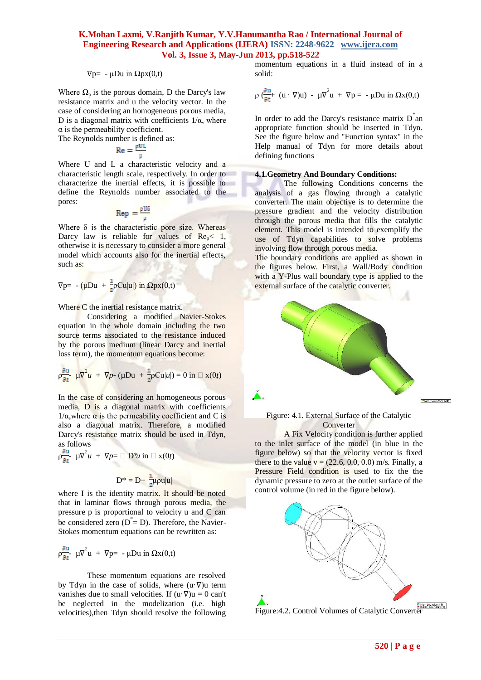#### $\nabla p = -\mu Du$  in  $\Omega px(0,t)$

Where  $\Omega_p$  is the porous domain, D the Darcy's law resistance matrix and u the velocity vector. In the case of considering an homogeneous porous media, D is a diagonal matrix with coefficients  $1/\alpha$ , where  $\alpha$  is the permeability coefficient.

The Reynolds number is defined as:

$$
\mathrm{Re}=\frac{\rho \mathrm{UL}}{\mu}
$$

Where U and L a characteristic velocity and a characteristic length scale, respectively. In order to characterize the inertial effects, it is possible to define the Reynolds number associated to the pores:

$$
Rep = \frac{\rho U}{u}
$$

Where  $\delta$  is the characteristic pore size. Whereas Darcy law is reliable for values of  $Re_p < 1$ , otherwise it is necessary to consider a more general model which accounts also for the inertial effects, such as:

$$
\nabla p = -(\mu Du + \frac{1}{2}\rho Cu|u|) \text{ in } \Omega \text{px}(0,t)
$$

Where C the inertial resistance matrix.

Considering a modified Navier-Stokes equation in the whole domain including the two source terms associated to the resistance induced by the porous medium (linear Darcy and inertial loss term), the momentum equations become:

$$
\rho \frac{\partial u}{\partial t} \mu \nabla^2 u + \nabla p \cdot (\mu Du + \frac{1}{2} \rho Cu|u|) = 0 \text{ in } \square \mathbf{x}(0t)
$$

In the case of considering an homogeneous porous media, D is a diagonal matrix with coefficients  $1/\alpha$ , where  $\alpha$  is the permeability coefficient and C is also a diagonal matrix. Therefore, a modified Darcy's resistance matrix should be used in Tdyn, as follows

$$
\rho \frac{\partial u}{\partial t} \mu \nabla^2 u + \nabla p = \Box \mathbf{D}^* u \text{ in } \Box \mathbf{x}(0t)
$$

$$
D^* = D + \frac{1}{2} \mu \rho u |u|
$$

where I is the identity matrix. It should be noted that in laminar flows through porous media, the pressure p is proportional to velocity u and C can be considered zero  $(D^* = D)$ . Therefore, the Navier-Stokes momentum equations can be rewritten as:

$$
\rho \frac{\partial u}{\partial t} \mu \nabla^2 u + \nabla p = -\mu Du \text{ in } \Omega x(0,t)
$$

These momentum equations are resolved by Tdyn in the case of solids, where  $(u \cdot \nabla)u$  term vanishes due to small velocities. If  $(u \cdot \nabla)u = 0$  can't be neglected in the modelization (i.e. high velocities),then Tdyn should resolve the following momentum equations in a fluid instead of in a solid:

$$
\rho \underline{\zeta_{\partial t}^{\partial u}} + (u \cdot \nabla)u) - \mu \nabla^2 u + \nabla p = -\mu Du \text{ in } \Omega x(0,t)
$$

In order to add the Darcy's resistance matrix  $D^*$  an appropriate function should be inserted in Tdyn. See the figure below and "Function syntax" in the Help manual of Tdyn for more details about defining functions

#### **4.1.Geometry And Boundary Conditions:**

The following Conditions concerns the analysis of a gas flowing through a catalytic converter. The main objective is to determine the pressure gradient and the velocity distribution through the porous media that fills the catalytic element. This model is intended to exemplify the use of Tdyn capabilities to solve problems involving flow through porous media.

The boundary conditions are applied as shown in the figures below. First, a Wall/Body condition with a Y-Plus wall boundary type is applied to the external surface of the catalytic converter.



#### Figure: 4.1. External Surface of the Catalytic **Converter**

A Fix Velocity condition is further applied to the inlet surface of the model (in blue in the figure below) so that the velocity vector is fixed there to the value  $v = (22.6, 0.0, 0.0)$  m/s. Finally, a Pressure Field condition is used to fix the the dynamic pressure to zero at the outlet surface of the control volume (in red in the figure below).



Figure:4.2. Control Volumes of Catalytic Converter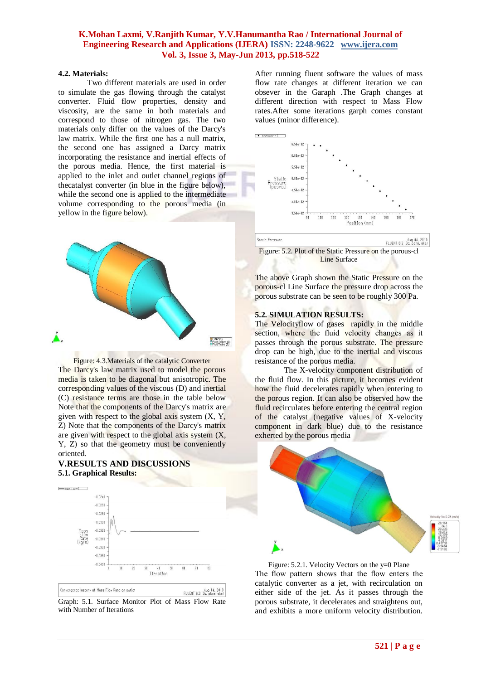#### **4.2. Materials:**

Two different materials are used in order to simulate the gas flowing through the catalyst converter. Fluid flow properties, density and viscosity, are the same in both materials and correspond to those of nitrogen gas. The two materials only differ on the values of the Darcy's law matrix. While the first one has a null matrix, the second one has assigned a Darcy matrix incorporating the resistance and inertial effects of the porous media. Hence, the first material is applied to the inlet and outlet channel regions of thecatalyst converter (in blue in the figure below), while the second one is applied to the intermediate volume corresponding to the porous media (in yellow in the figure below).



Figure: 4.3.Materials of the catalytic Converter The Darcy's law matrix used to model the porous media is taken to be diagonal but anisotropic. The corresponding values of the viscous (D) and inertial (C) resistance terms are those in the table below Note that the components of the Darcy's matrix are given with respect to the global axis system  $(X, Y, Y)$ Z) Note that the components of the Darcy's matrix are given with respect to the global axis system (X, Y, Z) so that the geometry must be conveniently oriented.

### **V.RESULTS AND DISCUSSIONS 5.1. Graphical Results:**



Graph: 5.1. Surface Monitor Plot of Mass Flow Rate with Number of Iterations

After running fluent software the values of mass flow rate changes at different iteration we can obsever in the Garaph .The Graph changes at different direction with respect to Mass Flow rates.After some iterations garph comes constant values (minor difference).



Line Surface

The above Graph shown the Static Pressure on the porous-cl Line Surface the pressure drop across the porous substrate can be seen to be roughly 300 Pa.

#### **5.2. SIMULATION RESULTS:**

The Velocityflow of gases rapidly in the middle section, where the fluid velocity changes as it passes through the porous substrate. The pressure drop can be high, due to the inertial and viscous resistance of the porous media.

The X-velocity component distribution of the fluid flow. In this picture, it becomes evident how the fluid decelerates rapidly when entering to the porous region. It can also be observed how the fluid recirculates before entering the central region of the catalyst (negative values of X-velocity component in dark blue) due to the resistance exherted by the porous media



Figure: 5.2.1. Velocity Vectors on the y=0 Plane The flow pattern shows that the flow enters the catalytic converter as a jet, with recirculation on either side of the jet. As it passes through the porous substrate, it decelerates and straightens out, and exhibits a more uniform velocity distribution.